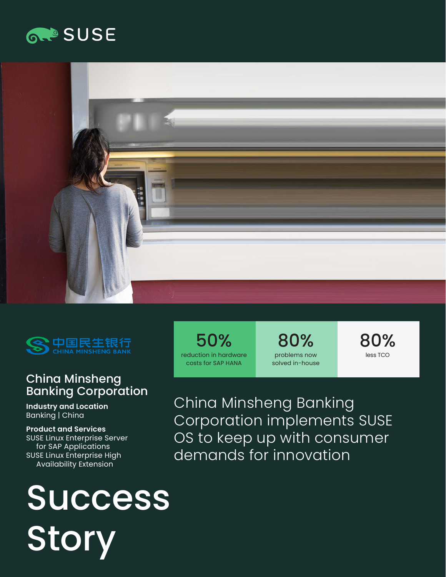## **GROSUSE**





## China Minsheng Banking Corporation

**Industry and Location**  Banking | China

**Product and Services**  SUSE Linux Enterprise Server for SAP Applications SUSE Linux Enterprise High Availability Extension

# **Success** Story

50% reduction in hardware costs for SAP HANA

80% problems now solved in-house 80% less TCO

China Minsheng Banking Corporation implements SUSE OS to keep up with consumer demands for innovation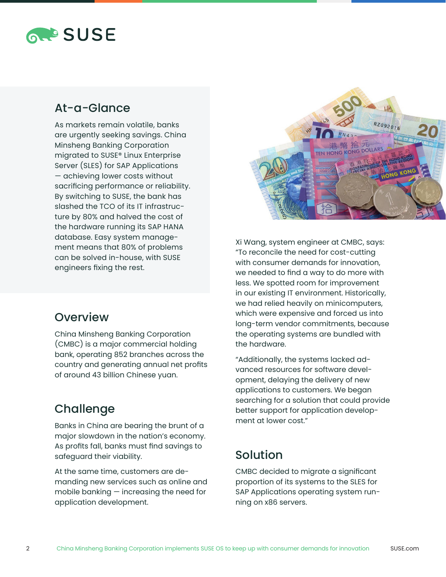## **RAPSUSE**

## At-a-Glance

As markets remain volatile, banks are urgently seeking savings. China Minsheng Banking Corporation migrated to SUSE® Linux Enterprise Server (SLES) for SAP Applications — achieving lower costs without sacrificing performance or reliability. By switching to SUSE, the bank has slashed the TCO of its IT infrastructure by 80% and halved the cost of the hardware running its SAP HANA database. Easy system management means that 80% of problems can be solved in-house, with SUSE engineers fixing the rest.

## **Overview**

China Minsheng Banking Corporation (CMBC) is a major commercial holding bank, operating 852 branches across the country and generating annual net profits of around 43 billion Chinese yuan.

## **Challenge**

Banks in China are bearing the brunt of a major slowdown in the nation's economy. As profits fall, banks must find savings to safeguard their viability.

At the same time, customers are demanding new services such as online and mobile banking — increasing the need for application development.



Xi Wang, system engineer at CMBC, says: "To reconcile the need for cost-cutting with consumer demands for innovation, we needed to find a way to do more with less. We spotted room for improvement in our existing IT environment. Historically, we had relied heavily on minicomputers, which were expensive and forced us into long-term vendor commitments, because the operating systems are bundled with the hardware.

"Additionally, the systems lacked advanced resources for software development, delaying the delivery of new applications to customers. We began searching for a solution that could provide better support for application development at lower cost."

## Solution

CMBC decided to migrate a significant proportion of its systems to the SLES for SAP Applications operating system running on x86 servers.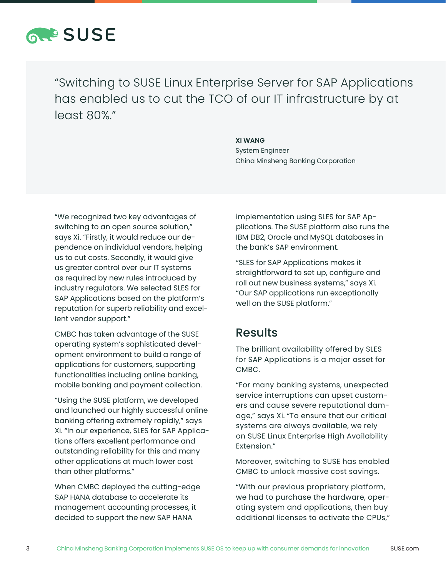

"Switching to SUSE Linux Enterprise Server for SAP Applications has enabled us to cut the TCO of our IT infrastructure by at least 80%."

#### **XI WANG**

System Engineer China Minsheng Banking Corporation

"We recognized two key advantages of switching to an open source solution," says Xi. "Firstly, it would reduce our dependence on individual vendors, helping us to cut costs. Secondly, it would give us greater control over our IT systems as required by new rules introduced by industry regulators. We selected SLES for SAP Applications based on the platform's reputation for superb reliability and excellent vendor support."

CMBC has taken advantage of the SUSE operating system's sophisticated development environment to build a range of applications for customers, supporting functionalities including online banking, mobile banking and payment collection.

"Using the SUSE platform, we developed and launched our highly successful online banking offering extremely rapidly," says Xi. "In our experience, SLES for SAP Applications offers excellent performance and outstanding reliability for this and many other applications at much lower cost than other platforms."

When CMBC deployed the cutting-edge SAP HANA database to accelerate its management accounting processes, it decided to support the new SAP HANA

implementation using SLES for SAP Applications. The SUSE platform also runs the IBM DB2, Oracle and MySQL databases in the bank's SAP environment.

"SLES for SAP Applications makes it straightforward to set up, configure and roll out new business systems," says Xi. "Our SAP applications run exceptionally well on the SUSE platform."

#### Results

The brilliant availability offered by SLES for SAP Applications is a major asset for CMBC.

"For many banking systems, unexpected service interruptions can upset customers and cause severe reputational damage," says Xi. "To ensure that our critical systems are always available, we rely on SUSE Linux Enterprise High Availability Extension."

Moreover, switching to SUSE has enabled CMBC to unlock massive cost savings.

"With our previous proprietary platform, we had to purchase the hardware, operating system and applications, then buy additional licenses to activate the CPUs,"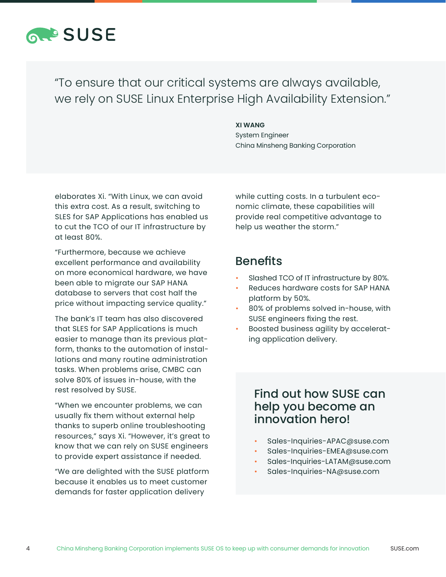

"To ensure that our critical systems are always available, we rely on SUSE Linux Enterprise High Availability Extension."

#### **XI WANG**

System Engineer China Minsheng Banking Corporation

elaborates Xi. "With Linux, we can avoid this extra cost. As a result, switching to SLES for SAP Applications has enabled us to cut the TCO of our IT infrastructure by at least 80%.

"Furthermore, because we achieve excellent performance and availability on more economical hardware, we have been able to migrate our SAP HANA database to servers that cost half the price without impacting service quality."

The bank's IT team has also discovered that SLES for SAP Applications is much easier to manage than its previous platform, thanks to the automation of installations and many routine administration tasks. When problems arise, CMBC can solve 80% of issues in-house, with the rest resolved by SUSE.

"When we encounter problems, we can usually fix them without external help thanks to superb online troubleshooting resources," says Xi. "However, it's great to know that we can rely on SUSE engineers to provide expert assistance if needed.

"We are delighted with the SUSE platform because it enables us to meet customer demands for faster application delivery

while cutting costs. In a turbulent economic climate, these capabilities will provide real competitive advantage to help us weather the storm."

### Benefits

- Slashed TCO of IT infrastructure by 80%.
- Reduces hardware costs for SAP HANA platform by 50%.
- 80% of problems solved in-house, with SUSE engineers fixing the rest.
- Boosted business agility by accelerating application delivery.

### Find out how SUSE can help you become an innovation hero!

- Sales-Inquiries-APAC@suse.com
- Sales-Inquiries-EMEA@suse.com
- Sales-Inquiries-LATAM@suse.com
- Sales-Inquiries-NA@suse.com